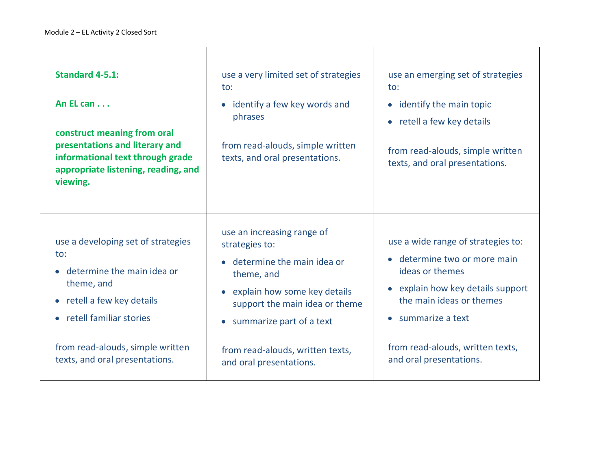| <b>Standard 4-5.1:</b><br>An EL can<br>construct meaning from oral<br>presentations and literary and<br>informational text through grade<br>appropriate listening, reading, and<br>viewing.                            | use a very limited set of strategies<br>$\mathsf{to}$ :<br>• identify a few key words and<br>phrases<br>from read-alouds, simple written<br>texts, and oral presentations.                                                                            | use an emerging set of strategies<br>$\mathsf{to}$ :<br>• identify the main topic<br>• retell a few key details<br>from read-alouds, simple written<br>texts, and oral presentations.                                                             |
|------------------------------------------------------------------------------------------------------------------------------------------------------------------------------------------------------------------------|-------------------------------------------------------------------------------------------------------------------------------------------------------------------------------------------------------------------------------------------------------|---------------------------------------------------------------------------------------------------------------------------------------------------------------------------------------------------------------------------------------------------|
| use a developing set of strategies<br>to:<br>determine the main idea or<br>theme, and<br>• retell a few key details<br>• retell familiar stories<br>from read-alouds, simple written<br>texts, and oral presentations. | use an increasing range of<br>strategies to:<br>determine the main idea or<br>theme, and<br>explain how some key details<br>support the main idea or theme<br>summarize part of a text<br>from read-alouds, written texts,<br>and oral presentations. | use a wide range of strategies to:<br>determine two or more main<br>ideas or themes<br>• explain how key details support<br>the main ideas or themes<br>$\bullet$ summarize a text<br>from read-alouds, written texts,<br>and oral presentations. |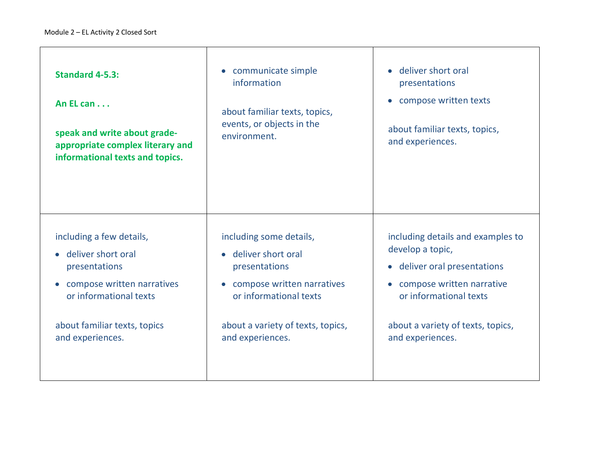| Standard 4-5.3:<br>An EL can<br>speak and write about grade-<br>appropriate complex literary and<br>informational texts and topics.                                         | • communicate simple<br>information<br>about familiar texts, topics,<br>events, or objects in the<br>environment.                                                                              | deliver short oral<br>presentations<br>compose written texts<br>$\bullet$<br>about familiar texts, topics,<br>and experiences.                                                                                     |
|-----------------------------------------------------------------------------------------------------------------------------------------------------------------------------|------------------------------------------------------------------------------------------------------------------------------------------------------------------------------------------------|--------------------------------------------------------------------------------------------------------------------------------------------------------------------------------------------------------------------|
| including a few details,<br>deliver short oral<br>presentations<br>compose written narratives<br>or informational texts<br>about familiar texts, topics<br>and experiences. | including some details,<br>• deliver short oral<br>presentations<br>compose written narratives<br>$\bullet$<br>or informational texts<br>about a variety of texts, topics,<br>and experiences. | including details and examples to<br>develop a topic,<br>• deliver oral presentations<br>compose written narrative<br>$\bullet$<br>or informational texts<br>about a variety of texts, topics,<br>and experiences. |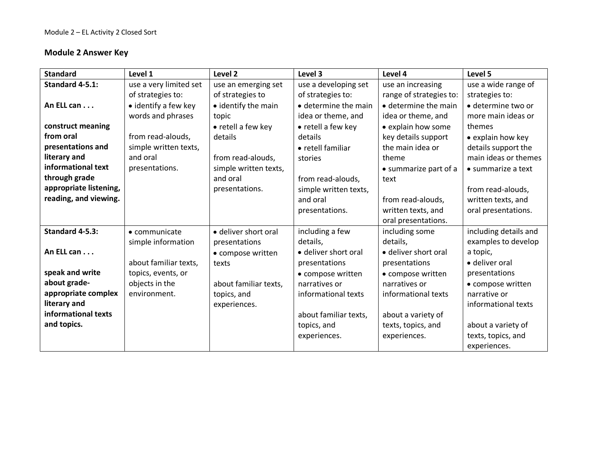#### **Module 2 Answer Key**

| <b>Standard</b>        | Level 1                | Level <sub>2</sub>    | Level 3                      | Level 4                      | Level 5                    |
|------------------------|------------------------|-----------------------|------------------------------|------------------------------|----------------------------|
| Standard 4-5.1:        | use a very limited set | use an emerging set   | use a developing set         | use an increasing            | use a wide range of        |
|                        | of strategies to:      | of strategies to      | of strategies to:            | range of strategies to:      | strategies to:             |
| An ELL can             | • identify a few key   | • identify the main   | $\bullet$ determine the main | $\bullet$ determine the main | · determine two or         |
|                        | words and phrases      | topic                 | idea or theme, and           | idea or theme, and           | more main ideas or         |
| construct meaning      |                        | • retell a few key    | • retell a few key           | • explain how some           | themes                     |
| from oral              | from read-alouds,      | details               | details                      | key details support          | • explain how key          |
| presentations and      | simple written texts,  |                       | • retell familiar            | the main idea or             | details support the        |
| literary and           | and oral               | from read-alouds.     | stories                      | theme                        | main ideas or themes       |
| informational text     | presentations.         | simple written texts, |                              | • summarize part of a        | $\bullet$ summarize a text |
| through grade          |                        | and oral              | from read-alouds,            | text                         |                            |
| appropriate listening, |                        | presentations.        | simple written texts,        |                              | from read-alouds,          |
| reading, and viewing.  |                        |                       | and oral                     | from read-alouds,            | written texts, and         |
|                        |                        |                       | presentations.               | written texts, and           | oral presentations.        |
|                        |                        |                       |                              | oral presentations.          |                            |
| Standard 4-5.3:        | • communicate          | · deliver short oral  | including a few              | including some               | including details and      |
|                        | simple information     | presentations         | details,                     | details,                     | examples to develop        |
| An ELL can             |                        | • compose written     | • deliver short oral         | • deliver short oral         | a topic,                   |
|                        | about familiar texts,  | texts                 | presentations                | presentations                | • deliver oral             |
| speak and write        | topics, events, or     |                       | • compose written            | • compose written            | presentations              |
| about grade-           | objects in the         | about familiar texts, | narratives or                | narratives or                | • compose written          |
| appropriate complex    | environment.           | topics, and           | informational texts          | informational texts          | narrative or               |
| literary and           |                        | experiences.          |                              |                              | informational texts        |
| informational texts    |                        |                       | about familiar texts,        | about a variety of           |                            |
| and topics.            |                        |                       | topics, and                  | texts, topics, and           | about a variety of         |
|                        |                        |                       | experiences.                 | experiences.                 | texts, topics, and         |
|                        |                        |                       |                              |                              | experiences.               |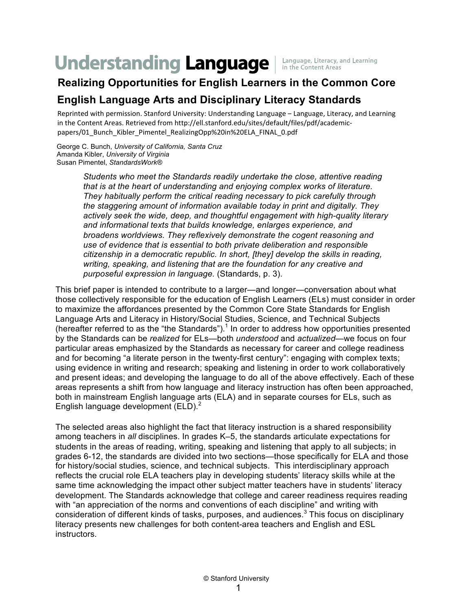# **Understanding Language**

Language, Literacy, and Learning in the Content Areas

# **Realizing Opportunities for English Learners in the Common Core**

## **English Language Arts and Disciplinary Literacy Standards**

Reprinted with permission. Stanford University: Understanding Language – Language, Literacy, and Learning in the Content Areas. Retrieved from http://ell.stanford.edu/sites/default/files/pdf/academicpapers/01\_Bunch\_Kibler\_Pimentel\_RealizingOpp%20in%20ELA\_FINAL\_0.pdf

George C. Bunch, *University of California, Santa Cruz* Amanda Kibler, *University of Virginia* Susan Pimentel, *StandardsWork®*

> *Students who meet the Standards readily undertake the close, attentive reading that is at the heart of understanding and enjoying complex works of literature. They habitually perform the critical reading necessary to pick carefully through the staggering amount of information available today in print and digitally. They actively seek the wide, deep, and thoughtful engagement with high-quality literary and informational texts that builds knowledge, enlarges experience, and broadens worldviews. They reflexively demonstrate the cogent reasoning and use of evidence that is essential to both private deliberation and responsible citizenship in a democratic republic. In short, [they] develop the skills in reading, writing, speaking, and listening that are the foundation for any creative and purposeful expression in language.* (Standards, p. 3).

This brief paper is intended to contribute to a larger—and longer—conversation about what those collectively responsible for the education of English Learners (ELs) must consider in order to maximize the affordances presented by the Common Core State Standards for English Language Arts and Literacy in History/Social Studies, Science, and Technical Subjects (hereafter referred to as the "the Standards").<sup>1</sup> In order to address how opportunities presented by the Standards can be *realized* for ELs—both *understood* and *actualized*—we focus on four particular areas emphasized by the Standards as necessary for career and college readiness and for becoming "a literate person in the twenty-first century": engaging with complex texts; using evidence in writing and research; speaking and listening in order to work collaboratively and present ideas; and developing the language to do all of the above effectively. Each of these areas represents a shift from how language and literacy instruction has often been approached, both in mainstream English language arts (ELA) and in separate courses for ELs, such as English language development  $(ELD)<sup>2</sup>$ 

The selected areas also highlight the fact that literacy instruction is a shared responsibility among teachers in *all* disciplines. In grades K–5, the standards articulate expectations for students in the areas of reading, writing, speaking and listening that apply to all subjects; in grades 6-12, the standards are divided into two sections—those specifically for ELA and those for history/social studies, science, and technical subjects. This interdisciplinary approach reflects the crucial role ELA teachers play in developing students' literacy skills while at the same time acknowledging the impact other subject matter teachers have in students' literacy development. The Standards acknowledge that college and career readiness requires reading with "an appreciation of the norms and conventions of each discipline" and writing with consideration of different kinds of tasks, purposes, and audiences.<sup>3</sup> This focus on disciplinary literacy presents new challenges for both content-area teachers and English and ESL instructors.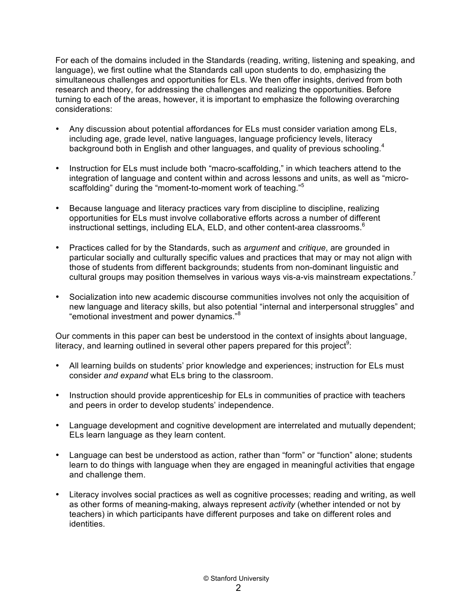For each of the domains included in the Standards (reading, writing, listening and speaking, and language), we first outline what the Standards call upon students to do, emphasizing the simultaneous challenges and opportunities for ELs. We then offer insights, derived from both research and theory, for addressing the challenges and realizing the opportunities. Before turning to each of the areas, however, it is important to emphasize the following overarching considerations:

- Any discussion about potential affordances for ELs must consider variation among ELs, including age, grade level, native languages, language proficiency levels, literacy background both in English and other languages, and quality of previous schooling.<sup>4</sup>
- Instruction for ELs must include both "macro-scaffolding," in which teachers attend to the integration of language and content within and across lessons and units, as well as "microscaffolding" during the "moment-to-moment work of teaching."<sup>5</sup>
- Because language and literacy practices vary from discipline to discipline, realizing opportunities for ELs must involve collaborative efforts across a number of different instructional settings, including ELA, ELD, and other content-area classrooms. $6$
- Practices called for by the Standards, such as *argument* and *critique*, are grounded in particular socially and culturally specific values and practices that may or may not align with those of students from different backgrounds; students from non-dominant linguistic and cultural groups may position themselves in various ways vis-a-vis mainstream expectations.<sup>7</sup>
- Socialization into new academic discourse communities involves not only the acquisition of new language and literacy skills, but also potential "internal and interpersonal struggles" and "emotional investment and power dynamics." 8

Our comments in this paper can best be understood in the context of insights about language, literacy, and learning outlined in several other papers prepared for this project<sup>9</sup>:

- All learning builds on students' prior knowledge and experiences; instruction for ELs must consider *and expand* what ELs bring to the classroom.
- Instruction should provide apprenticeship for ELs in communities of practice with teachers and peers in order to develop students' independence.
- Language development and cognitive development are interrelated and mutually dependent; ELs learn language as they learn content.
- Language can best be understood as action, rather than "form" or "function" alone; students learn to do things with language when they are engaged in meaningful activities that engage and challenge them.
- Literacy involves social practices as well as cognitive processes; reading and writing, as well as other forms of meaning-making, always represent *activity* (whether intended or not by teachers) in which participants have different purposes and take on different roles and identities.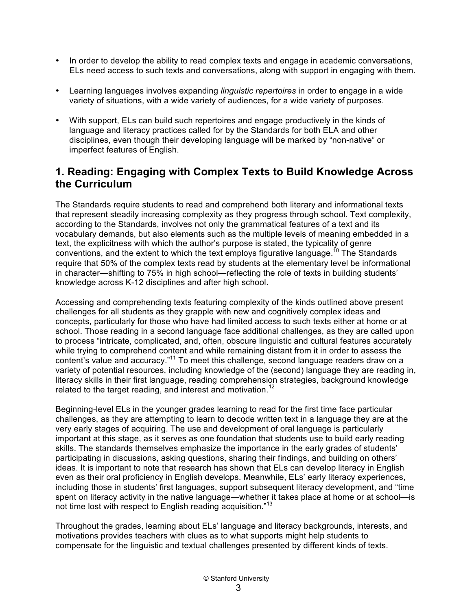- In order to develop the ability to read complex texts and engage in academic conversations, ELs need access to such texts and conversations, along with support in engaging with them.
- Learning languages involves expanding *linguistic repertoires* in order to engage in a wide variety of situations, with a wide variety of audiences, for a wide variety of purposes.
- With support, ELs can build such repertoires and engage productively in the kinds of language and literacy practices called for by the Standards for both ELA and other disciplines, even though their developing language will be marked by "non-native" or imperfect features of English.

#### **1. Reading: Engaging with Complex Texts to Build Knowledge Across the Curriculum**

The Standards require students to read and comprehend both literary and informational texts that represent steadily increasing complexity as they progress through school. Text complexity, according to the Standards, involves not only the grammatical features of a text and its vocabulary demands, but also elements such as the multiple levels of meaning embedded in a text, the explicitness with which the author's purpose is stated, the typicality of genre conventions, and the extent to which the text employs figurative language.<sup>10</sup> The Standards require that 50% of the complex texts read by students at the elementary level be informational in character—shifting to 75% in high school—reflecting the role of texts in building students' knowledge across K-12 disciplines and after high school.

Accessing and comprehending texts featuring complexity of the kinds outlined above present challenges for all students as they grapple with new and cognitively complex ideas and concepts, particularly for those who have had limited access to such texts either at home or at school. Those reading in a second language face additional challenges, as they are called upon to process "intricate, complicated, and, often, obscure linguistic and cultural features accurately while trying to comprehend content and while remaining distant from it in order to assess the content's value and accuracy."<sup>11</sup> To meet this challenge, second language readers draw on a variety of potential resources, including knowledge of the (second) language they are reading in, literacy skills in their first language, reading comprehension strategies, background knowledge related to the target reading, and interest and motivation.<sup>12</sup>

Beginning-level ELs in the younger grades learning to read for the first time face particular challenges, as they are attempting to learn to decode written text in a language they are at the very early stages of acquiring. The use and development of oral language is particularly important at this stage, as it serves as one foundation that students use to build early reading skills. The standards themselves emphasize the importance in the early grades of students' participating in discussions, asking questions, sharing their findings, and building on others' ideas. It is important to note that research has shown that ELs can develop literacy in English even as their oral proficiency in English develops. Meanwhile, ELs' early literacy experiences, including those in students' first languages, support subsequent literacy development, and "time spent on literacy activity in the native language—whether it takes place at home or at school—is not time lost with respect to English reading acquisition."<sup>13</sup>

Throughout the grades, learning about ELs' language and literacy backgrounds, interests, and motivations provides teachers with clues as to what supports might help students to compensate for the linguistic and textual challenges presented by different kinds of texts.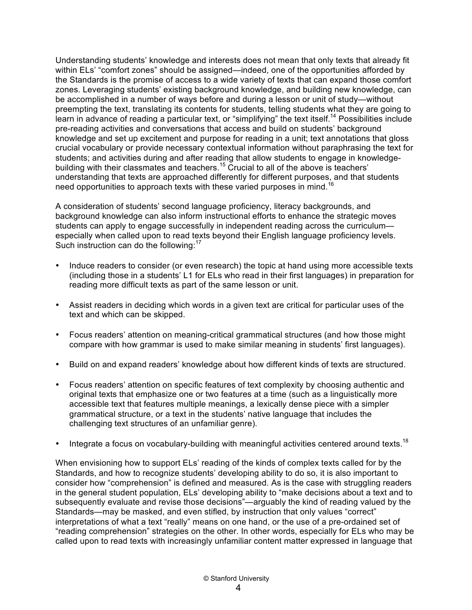Understanding students' knowledge and interests does not mean that only texts that already fit within ELs' "comfort zones" should be assigned—indeed, one of the opportunities afforded by the Standards is the promise of access to a wide variety of texts that can expand those comfort zones. Leveraging students' existing background knowledge, and building new knowledge, can be accomplished in a number of ways before and during a lesson or unit of study—without preempting the text, translating its contents for students, telling students what they are going to learn in advance of reading a particular text, or "simplifying" the text itself.<sup>14</sup> Possibilities include pre-reading activities and conversations that access and build on students' background knowledge and set up excitement and purpose for reading in a unit; text annotations that gloss crucial vocabulary or provide necessary contextual information without paraphrasing the text for students; and activities during and after reading that allow students to engage in knowledgebuilding with their classmates and teachers.<sup>15</sup> Crucial to all of the above is teachers' understanding that texts are approached differently for different purposes, and that students need opportunities to approach texts with these varied purposes in mind.<sup>16</sup>

A consideration of students' second language proficiency, literacy backgrounds, and background knowledge can also inform instructional efforts to enhance the strategic moves students can apply to engage successfully in independent reading across the curriculum especially when called upon to read texts beyond their English language proficiency levels. Such instruction can do the following:<sup>17</sup>

- Induce readers to consider (or even research) the topic at hand using more accessible texts (including those in a students' L1 for ELs who read in their first languages) in preparation for reading more difficult texts as part of the same lesson or unit.
- Assist readers in deciding which words in a given text are critical for particular uses of the text and which can be skipped.
- Focus readers' attention on meaning-critical grammatical structures (and how those might compare with how grammar is used to make similar meaning in students' first languages).
- Build on and expand readers' knowledge about how different kinds of texts are structured.
- Focus readers' attention on specific features of text complexity by choosing authentic and original texts that emphasize one or two features at a time (such as a linguistically more accessible text that features multiple meanings, a lexically dense piece with a simpler grammatical structure, or a text in the students' native language that includes the challenging text structures of an unfamiliar genre).
- Integrate a focus on vocabulary-building with meaningful activities centered around texts.<sup>18</sup>

When envisioning how to support ELs' reading of the kinds of complex texts called for by the Standards, and how to recognize students' developing ability to do so, it is also important to consider how "comprehension" is defined and measured. As is the case with struggling readers in the general student population, ELs' developing ability to "make decisions about a text and to subsequently evaluate and revise those decisions"—arguably the kind of reading valued by the Standards—may be masked, and even stifled, by instruction that only values "correct" interpretations of what a text "really" means on one hand, or the use of a pre-ordained set of "reading comprehension" strategies on the other. In other words, especially for ELs who may be called upon to read texts with increasingly unfamiliar content matter expressed in language that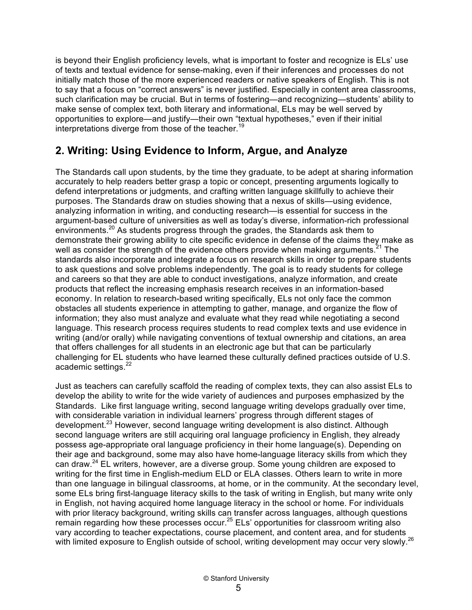is beyond their English proficiency levels, what is important to foster and recognize is ELs' use of texts and textual evidence for sense-making, even if their inferences and processes do not initially match those of the more experienced readers or native speakers of English. This is not to say that a focus on "correct answers" is never justified. Especially in content area classrooms, such clarification may be crucial. But in terms of fostering—and recognizing—students' ability to make sense of complex text, both literary and informational, ELs may be well served by opportunities to explore—and justify—their own "textual hypotheses," even if their initial interpretations diverge from those of the teacher.<sup>19</sup>

## **2. Writing: Using Evidence to Inform, Argue, and Analyze**

The Standards call upon students, by the time they graduate, to be adept at sharing information accurately to help readers better grasp a topic or concept, presenting arguments logically to defend interpretations or judgments, and crafting written language skillfully to achieve their purposes. The Standards draw on studies showing that a nexus of skills—using evidence, analyzing information in writing, and conducting research—is essential for success in the argument-based culture of universities as well as today's diverse, information-rich professional environments.<sup>20</sup> As students progress through the grades, the Standards ask them to demonstrate their growing ability to cite specific evidence in defense of the claims they make as well as consider the strength of the evidence others provide when making arguments.<sup>21</sup> The standards also incorporate and integrate a focus on research skills in order to prepare students to ask questions and solve problems independently. The goal is to ready students for college and careers so that they are able to conduct investigations, analyze information, and create products that reflect the increasing emphasis research receives in an information-based economy. In relation to research-based writing specifically, ELs not only face the common obstacles all students experience in attempting to gather, manage, and organize the flow of information; they also must analyze and evaluate what they read while negotiating a second language. This research process requires students to read complex texts and use evidence in writing (and/or orally) while navigating conventions of textual ownership and citations, an area that offers challenges for all students in an electronic age but that can be particularly challenging for EL students who have learned these culturally defined practices outside of U.S. academic settings.<sup>22</sup>

Just as teachers can carefully scaffold the reading of complex texts, they can also assist ELs to develop the ability to write for the wide variety of audiences and purposes emphasized by the Standards. Like first language writing, second language writing develops gradually over time, with considerable variation in individual learners' progress through different stages of development.<sup>23</sup> However, second language writing development is also distinct. Although second language writers are still acquiring oral language proficiency in English, they already possess age-appropriate oral language proficiency in their home language(s). Depending on their age and background, some may also have home-language literacy skills from which they can draw.<sup>24</sup> EL writers, however, are a diverse group. Some young children are exposed to writing for the first time in English-medium ELD or ELA classes. Others learn to write in more than one language in bilingual classrooms, at home, or in the community. At the secondary level, some ELs bring first-language literacy skills to the task of writing in English, but many write only in English, not having acquired home language literacy in the school or home. For individuals with prior literacy background, writing skills can transfer across languages, although questions remain regarding how these processes occur.<sup>25</sup> ELs' opportunities for classroom writing also vary according to teacher expectations, course placement, and content area, and for students with limited exposure to English outside of school, writing development may occur very slowly.<sup>26</sup>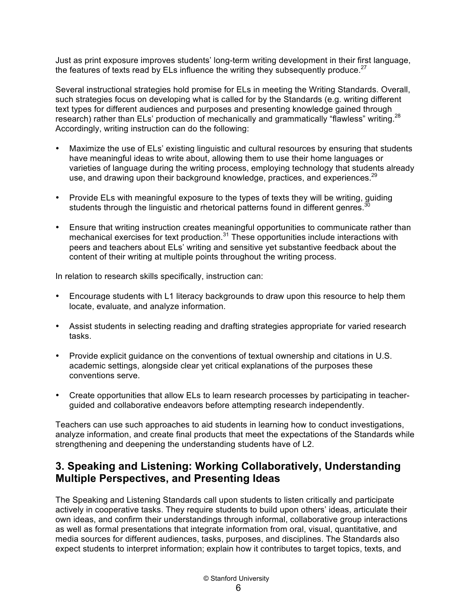Just as print exposure improves students' long-term writing development in their first language, the features of texts read by ELs influence the writing they subsequently produce.<sup>27</sup>

Several instructional strategies hold promise for ELs in meeting the Writing Standards. Overall, such strategies focus on developing what is called for by the Standards (e.g. writing different text types for different audiences and purposes and presenting knowledge gained through research) rather than ELs' production of mechanically and grammatically "flawless" writing.<sup>28</sup> Accordingly, writing instruction can do the following:

- Maximize the use of ELs' existing linguistic and cultural resources by ensuring that students have meaningful ideas to write about, allowing them to use their home languages or varieties of language during the writing process, employing technology that students already use, and drawing upon their background knowledge, practices, and experiences.<sup>29</sup>
- Provide ELs with meaningful exposure to the types of texts they will be writing, guiding students through the linguistic and rhetorical patterns found in different genres.<sup>3</sup>
- Ensure that writing instruction creates meaningful opportunities to communicate rather than mechanical exercises for text production.<sup>31</sup> These opportunities include interactions with peers and teachers about ELs' writing and sensitive yet substantive feedback about the content of their writing at multiple points throughout the writing process.

In relation to research skills specifically, instruction can:

- Encourage students with L1 literacy backgrounds to draw upon this resource to help them locate, evaluate, and analyze information.
- Assist students in selecting reading and drafting strategies appropriate for varied research tasks.
- Provide explicit guidance on the conventions of textual ownership and citations in U.S. academic settings, alongside clear yet critical explanations of the purposes these conventions serve.
- Create opportunities that allow ELs to learn research processes by participating in teacherguided and collaborative endeavors before attempting research independently.

Teachers can use such approaches to aid students in learning how to conduct investigations, analyze information, and create final products that meet the expectations of the Standards while strengthening and deepening the understanding students have of L2.

### **3. Speaking and Listening: Working Collaboratively, Understanding Multiple Perspectives, and Presenting Ideas**

The Speaking and Listening Standards call upon students to listen critically and participate actively in cooperative tasks. They require students to build upon others' ideas, articulate their own ideas, and confirm their understandings through informal, collaborative group interactions as well as formal presentations that integrate information from oral, visual, quantitative, and media sources for different audiences, tasks, purposes, and disciplines. The Standards also expect students to interpret information; explain how it contributes to target topics, texts, and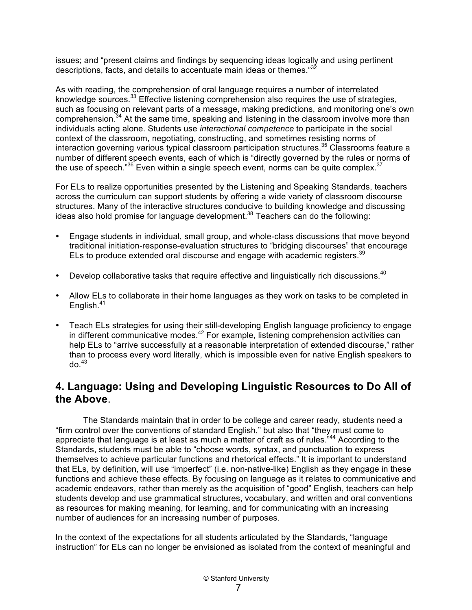issues; and "present claims and findings by sequencing ideas logically and using pertinent descriptions, facts, and details to accentuate main ideas or themes."<sup>32</sup>

As with reading, the comprehension of oral language requires a number of interrelated knowledge sources.<sup>33</sup> Effective listening comprehension also requires the use of strategies, such as focusing on relevant parts of a message, making predictions, and monitoring one's own comprehension.<sup>34</sup> At the same time, speaking and listening in the classroom involve more than individuals acting alone. Students use *interactional competence* to participate in the social context of the classroom, negotiating, constructing, and sometimes resisting norms of interaction governing various typical classroom participation structures.<sup>35</sup> Classrooms feature a number of different speech events, each of which is "directly governed by the rules or norms of the use of speech." $36$  Even within a single speech event, norms can be quite complex. $37$ 

For ELs to realize opportunities presented by the Listening and Speaking Standards, teachers across the curriculum can support students by offering a wide variety of classroom discourse structures. Many of the interactive structures conducive to building knowledge and discussing ideas also hold promise for language development.<sup>38</sup> Teachers can do the following:

- Engage students in individual, small group, and whole-class discussions that move beyond traditional initiation-response-evaluation structures to "bridging discourses" that encourage ELs to produce extended oral discourse and engage with academic registers.<sup>39</sup>
- Develop collaborative tasks that require effective and linguistically rich discussions.<sup>40</sup>
- Allow ELs to collaborate in their home languages as they work on tasks to be completed in English.<sup>41</sup>
- Teach ELs strategies for using their still-developing English language proficiency to engage in different communicative modes.<sup>42</sup> For example, listening comprehension activities can help ELs to "arrive successfully at a reasonable interpretation of extended discourse," rather than to process every word literally, which is impossible even for native English speakers to do. 43

### **4. Language: Using and Developing Linguistic Resources to Do All of the Above**.

The Standards maintain that in order to be college and career ready, students need a "firm control over the conventions of standard English," but also that "they must come to appreciate that language is at least as much a matter of craft as of rules.<sup>"44</sup> According to the Standards, students must be able to "choose words, syntax, and punctuation to express themselves to achieve particular functions and rhetorical effects." It is important to understand that ELs, by definition, will use "imperfect" (i.e. non-native-like) English as they engage in these functions and achieve these effects. By focusing on language as it relates to communicative and academic endeavors, rather than merely as the acquisition of "good" English, teachers can help students develop and use grammatical structures, vocabulary, and written and oral conventions as resources for making meaning, for learning, and for communicating with an increasing number of audiences for an increasing number of purposes.

In the context of the expectations for all students articulated by the Standards, "language instruction" for ELs can no longer be envisioned as isolated from the context of meaningful and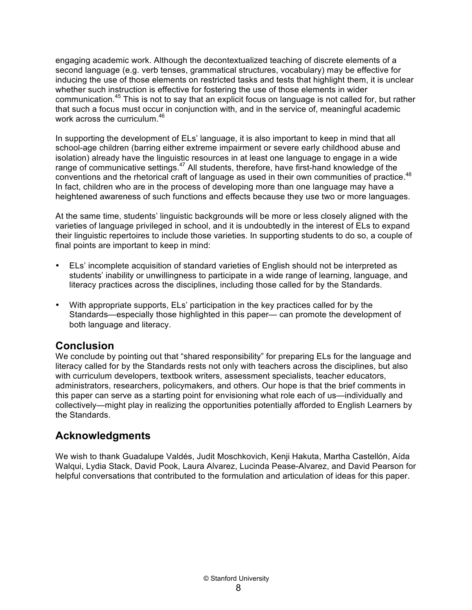engaging academic work. Although the decontextualized teaching of discrete elements of a second language (e.g. verb tenses, grammatical structures, vocabulary) may be effective for inducing the use of those elements on restricted tasks and tests that highlight them, it is unclear whether such instruction is effective for fostering the use of those elements in wider communication.<sup>45</sup> This is not to say that an explicit focus on language is not called for, but rather that such a focus must occur in conjunction with, and in the service of, meaningful academic work across the curriculum.<sup>46</sup>

In supporting the development of ELs' language, it is also important to keep in mind that all school-age children (barring either extreme impairment or severe early childhood abuse and isolation) already have the linguistic resources in at least one language to engage in a wide range of communicative settings.<sup>47</sup> All students, therefore, have first-hand knowledge of the conventions and the rhetorical craft of language as used in their own communities of practice.<sup>48</sup> In fact, children who are in the process of developing more than one language may have a heightened awareness of such functions and effects because they use two or more languages.

At the same time, students' linguistic backgrounds will be more or less closely aligned with the varieties of language privileged in school, and it is undoubtedly in the interest of ELs to expand their linguistic repertoires to include those varieties. In supporting students to do so, a couple of final points are important to keep in mind:

- ELs' incomplete acquisition of standard varieties of English should not be interpreted as students' inability or unwillingness to participate in a wide range of learning, language, and literacy practices across the disciplines, including those called for by the Standards.
- With appropriate supports, ELs' participation in the key practices called for by the Standards—especially those highlighted in this paper— can promote the development of both language and literacy.

#### **Conclusion**

We conclude by pointing out that "shared responsibility" for preparing ELs for the language and literacy called for by the Standards rests not only with teachers across the disciplines, but also with curriculum developers, textbook writers, assessment specialists, teacher educators, administrators, researchers, policymakers, and others. Our hope is that the brief comments in this paper can serve as a starting point for envisioning what role each of us—individually and collectively—might play in realizing the opportunities potentially afforded to English Learners by the Standards.

### **Acknowledgments**

We wish to thank Guadalupe Valdés, Judit Moschkovich, Kenji Hakuta, Martha Castellón, Aída Walqui, Lydia Stack, David Pook, Laura Alvarez, Lucinda Pease-Alvarez, and David Pearson for helpful conversations that contributed to the formulation and articulation of ideas for this paper.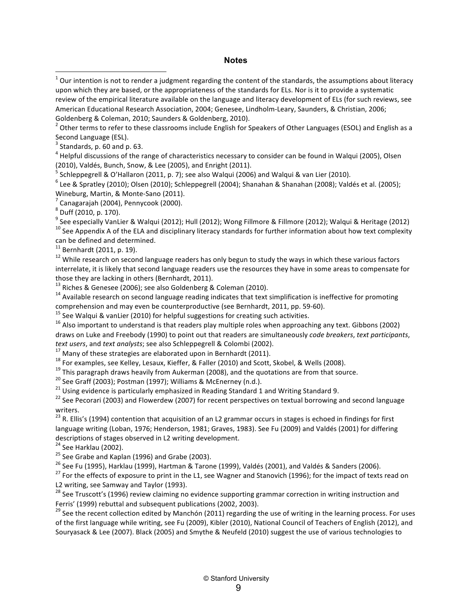#### **Notes**

 $^2$  Other terms to refer to these classrooms include English for Speakers of Other Languages (ESOL) and English as a Second Language (ESL).

 $4$  Helpful discussions of the range of characteristics necessary to consider can be found in Walqui (2005), Olsen (2010), Valdés, Bunch, Snow, & Lee (2005), and Enright (2011).<br><sup>5</sup> Schleppegrell & O'Hallaron (2011, p. 7); see also Walqui (2006) and Walqui & van Lier (2010).

 $6$  Lee & Spratley (2010); Olsen (2010); Schleppegrell (2004); Shanahan & Shanahan (2008); Valdés et al. (2005);

Wineburg, Martin, & Monte-Sano (2011).<br><sup>7</sup> Canagarajah (2004), Pennycook (2000).<br><sup>8</sup> Duff (2010, p. 170).

<sup>9</sup> See especially VanLier & Walqui (2012); Hull (2012); Wong Fillmore & Fillmore (2012); Walqui & Heritage (2012)<br><sup>10</sup> See Appendix A of the ELA and disciplinary literacy standards for further information about how text

can be defined and determined.<br> $11$  Bernhardt (2011, p. 19).

 $12$  While research on second language readers has only begun to study the ways in which these various factors interrelate, it is likely that second language readers use the resources they have in some areas to compensate for those they are lacking in others (Bernhardt, 2011).<br><sup>13</sup> Riches & Genesee (2006); see also Goldenberg & Coleman (2010).<br><sup>14</sup> Available research on second language reading indicates that text simplification is ineffective f

comprehension and may even be counterproductive (see Bernhardt, 2011, pp. 59-60).<br>
<sup>15</sup> See Walqui & vanLier (2010) for helpful suggestions for creating such activities.<br>
<sup>16</sup> Also important to understand is that readers

draws on Luke and Freebody (1990) to point out that readers are simultaneously *code breakers*, *text participants*,

text users, and text analysts; see also Schleppegrell & Colombi (2002).<br><sup>17</sup> Many of these strategies are elaborated upon in Bernhardt (2011).<br><sup>18</sup> For examples, see Kelley, Lesaux, Kieffer, & Faller (2010) and Scott, Skob

writers.

 $23$  R. Ellis's (1994) contention that acquisition of an L2 grammar occurs in stages is echoed in findings for first language writing (Loban, 1976; Henderson, 1981; Graves, 1983). See Fu (2009) and Valdés (2001) for differing descriptions of stages observed in L2 writing development.<br>
<sup>24</sup> See Harklau (2002).

<sup>25</sup> See Grabe and Kaplan (1996) and Grabe (2003).<br><sup>25</sup> See Grabe and Kaplan (1996) and Grabe (2003).<br><sup>26</sup> See Fu (1995), Harklau (1999), Hartman & Tarone (1999), Valdés (2001), and Valdés & Sanders (2006).<br><sup>27</sup> For the e

L2 writing, see Samway and Taylor (1993).

<sup>28</sup> See Truscott's (1996) review claiming no evidence supporting grammar correction in writing instruction and Ferris' (1999) rebuttal and subsequent publications (2002, 2003).<br><sup>29</sup> See the recent collection edited by Manchón (2011) regarding the use of writing in the learning process. For uses

of the first language while writing, see Fu (2009), Kibler (2010), National Council of Teachers of English (2012), and Souryasack & Lee (2007). Black (2005) and Smythe & Neufeld (2010) suggest the use of various technologies to

 $1$  Our intention is not to render a judgment regarding the content of the standards, the assumptions about literacy upon which they are based, or the appropriateness of the standards for ELs. Nor is it to provide a systematic review of the empirical literature available on the language and literacy development of ELs (for such reviews, see American Educational Research Association, 2004; Genesee, Lindholm-Leary, Saunders, & Christian, 2006; Goldenberg & Coleman, 2010; Saunders & Goldenberg, 2010).

Standards, p. 60 and p. 63.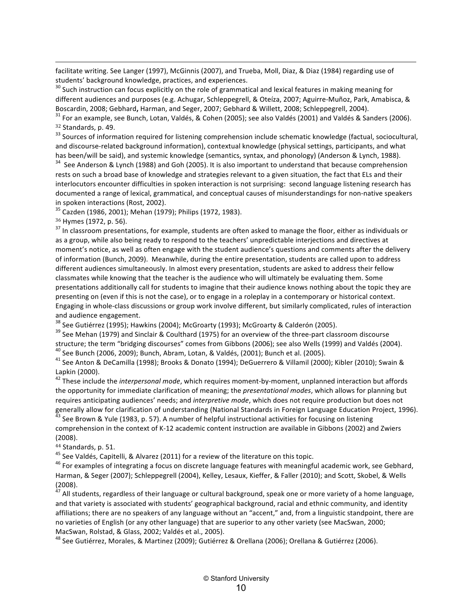facilitate writing. See Langer (1997), McGinnis (2007), and Trueba, Moll, Diaz, & Diaz (1984) regarding use of students' background knowledge, practices, and experiences.<br><sup>30</sup> Such instruction can focus explicitly on the role of grammatical and lexical features in making meaning for

different audiences and purposes (e.g. Achugar, Schleppegrell, & Oteíza, 2007; Aguirre-Muñoz, Park, Amabisca, & Boscardin, 2008; Gebhard, Harman, and Seger, 2007; Gebhard & Willett, 2008; Schleppegrell, 2004).<br><sup>31</sup> For an example, see Bunch, Lotan, Valdés, & Cohen (2005); see also Valdés (2001) and Valdés & Sanders (2006).

<u> 1989 - Andrea San Andrea San Andrea San Andrea San Andrea San Andrea San Andrea San Andrea San Andrea San An</u>

 $32$  Standards, p. 49.<br> $33$  Sources of information required for listening comprehension include schematic knowledge (factual, sociocultural,

and discourse-related background information), contextual knowledge (physical settings, participants, and what has been/will be said), and systemic knowledge (semantics, syntax, and phonology) (Anderson & Lynch, 1988).  $34$  See Anderson & Lynch (1988) and Goh (2005). It is also important to understand that because comprehension

rests on such a broad base of knowledge and strategies relevant to a given situation, the fact that ELs and their interlocutors encounter difficulties in spoken interaction is not surprising: second language listening research has documented a range of lexical, grammatical, and conceptual causes of misunderstandings for non-native speakers in spoken interactions (Rost, 2002).<br><sup>35</sup> Cazden (1986, 2001); Mehan (1979); Philips (1972, 1983).

 $36$  Hymes (1972, p. 56).<br> $37$  In classroom presentations, for example, students are often asked to manage the floor, either as individuals or as a group, while also being ready to respond to the teachers' unpredictable interjections and directives at moment's notice, as well as often engage with the student audience's questions and comments after the delivery of information (Bunch, 2009). Meanwhile, during the entire presentation, students are called upon to address different audiences simultaneously. In almost every presentation, students are asked to address their fellow classmates while knowing that the teacher is the audience who will ultimately be evaluating them. Some presentations additionally call for students to imagine that their audience knows nothing about the topic they are presenting on (even if this is not the case), or to engage in a roleplay in a contemporary or historical context. Engaging in whole-class discussions or group work involve different, but similarly complicated, rules of interaction

and audience engagement.<br><sup>38</sup> See Gutiérrez (1995); Hawkins (2004); McGroarty (1993); McGroarty & Calderón (2005).<br><sup>39</sup> See Mehan (1979) and Sinclair & Coulthard (1975) for an overview of the three-part classroom discours structure; the term "bridging discourses" comes from Gibbons (2006); see also Wells (1999) and Valdés (2004).<br><sup>40</sup> See Bunch (2006, 2009); Bunch, Abram, Lotan, & Valdés, (2001); Bunch et al. (2005).<br><sup>41</sup> See Anton & DeCami

Lapkin (2000).<br><sup>42</sup> These include the *interpersonal mode*, which requires moment-by-moment, unplanned interaction but affords

the opportunity for immediate clarification of meaning; the *presentational modes*, which allows for planning but requires anticipating audiences' needs; and *interpretive mode*, which does not require production but does not generally allow for clarification of understanding (National Standards in Foreign Language Education Project, 1996).  $^{43}$  See Brown & Yule (1983, p. 57). A number of helpful instructional activities for focusing on list

comprehension in the context of K-12 academic content instruction are available in Gibbons (2002) and Zwiers (2008).

<sup>44</sup> Standards, p. 51.<br><sup>45</sup> See Valdés, Capitelli, & Alvarez (2011) for a review of the literature on this topic.<br><sup>46</sup> For examples of integrating a focus on discrete language features with meaningful academic work, see G Harman, & Seger (2007); Schleppegrell (2004), Kelley, Lesaux, Kieffer, & Faller (2010); and Scott, Skobel, & Wells (2008).

 $^{47}$  All students, regardless of their language or cultural background, speak one or more variety of a home language, and that variety is associated with students' geographical background, racial and ethnic community, and identity affiliations; there are no speakers of any language without an "accent," and, from a linguistic standpoint, there are no varieties of English (or any other language) that are superior to any other variety (see MacSwan, 2000;

MacSwan, Rolstad, & Glass, 2002; Valdés et al., 2005).<br><sup>48</sup> See Gutiérrez, Morales, & Martinez (2009); Gutiérrez & Orellana (2006); Orellana & Gutiérrez (2006).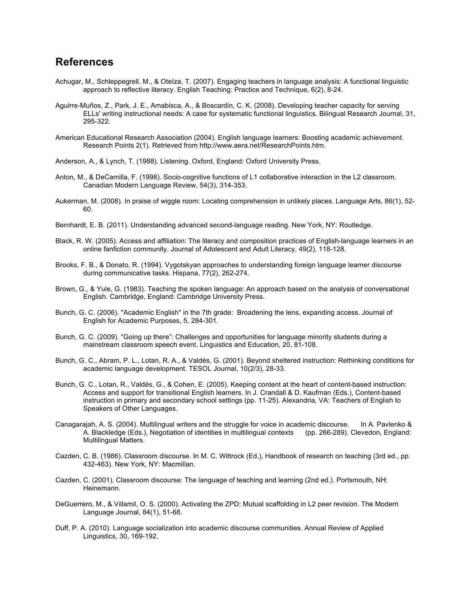#### **References**

- Achugar, M., Schleppegrell, M., & Oteíza, T. (2007). Engaging teachers in language analysis: A functional linguistic approach to reflective literacy. English Teaching: Practice and Technique, 6(2), 8-24.
- Aguirre-Muños, Z., Park, J. E., Amabisca, A., & Boscardin, C. K. (2008). Developing teacher capacity for serving ELLs' writing instructional needs: A case for systematic functional linguistics. Bilingual Research Journal, 31, 295-322.
- American Educational Research Association (2004). English language learners: Boosting academic achievement. Research Points 2(1). Retrieved from http://www.aera.net/ResearchPoints.htm.
- Anderson, A., & Lynch, T. (1988). Listening. Oxford, England: Oxford University Press.
- Anton, M., & DeCamilla, F. (1998). Socio-cognitive functions of L1 collaborative interaction in the L2 classroom. Canadian Modern Language Review, 54(3), 314-353.
- Aukerman, M. (2008). In praise of wiggle room: Locating comprehension in unlikely places. Language Arts, 86(1), 52- 60.
- Bernhardt, E. B. (2011). Understanding advanced second-language reading. New York, NY: Routledge.
- Black, R. W. (2005). Access and affiliation: The literacy and composition practices of English-language learners in an online fanfiction community. Journal of Adolescent and Adult Literacy, 49(2), 118-128.
- Brooks, F. B., & Donato, R. (1994). Vygotskyan approaches to understanding foreign language learner discourse during communicative tasks. Hispana, 77(2), 262-274.
- Brown, G., & Yule, G. (1983). Teaching the spoken language: An approach based on the analysis of conversational English. Cambridge, England: Cambridge University Press.
- Bunch, G. C. (2006). "Academic English" in the 7th grade: Broadening the lens, expanding access. Journal of English for Academic Purposes, 5, 284-301.
- Bunch, G. C. (2009). "Going up there": Challenges and opportunities for language minority students during a mainstream classroom speech event. Linguistics and Education, 20, 81-108.
- Bunch, G. C., Abram, P. L., Lotan, R. A., & Valdés, G. (2001). Beyond sheltered instruction: Rethinking conditions for academic language development. TESOL Journal, 10(2/3), 28-33.
- Bunch, G. C., Lotan, R., Valdés, G., & Cohen, E. (2005). Keeping content at the heart of content-based instruction: Access and support for transitional English learners. In J. Crandall & D. Kaufman (Eds.), Content-based instruction in primary and secondary school settings (pp. 11-25). Alexandria, VA: Teachers of English to Speakers of Other Languages.
- Canagarajah, A. S. (2004). Multilingual writers and the struggle for voice in academic discourse. In A. Pavlenko & A. Blackledge (Eds.), Negotiation of identities in multilingual contexts (pp. 266-289). Clevedon, England: Multilingual Matters.
- Cazden, C. B. (1986). Classroom discourse. In M. C. Wittrock (Ed.), Handbook of research on teaching (3rd ed., pp. 432-463). New York, NY: Macmillan.
- Cazden, C. (2001). Classroom discourse: The language of teaching and learning (2nd ed.). Portsmouth, NH: Heinemann.
- DeGuerrero, M., & Villamil, O. S. (2000). Activating the ZPD: Mutual scaffolding in L2 peer revision. The Modern Language Journal, 84(1), 51-68.
- Duff, P. A. (2010). Language socialization into academic discourse communities. Annual Review of Applied Linguistics, 30, 169-192.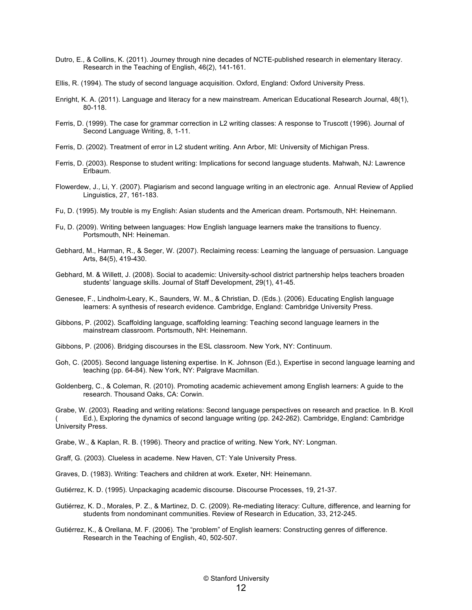- Dutro, E., & Collins, K. (2011). Journey through nine decades of NCTE-published research in elementary literacy. Research in the Teaching of English, 46(2), 141-161.
- Ellis, R. (1994). The study of second language acquisition. Oxford, England: Oxford University Press.
- Enright, K. A. (2011). Language and literacy for a new mainstream. American Educational Research Journal, 48(1), 80-118.
- Ferris, D. (1999). The case for grammar correction in L2 writing classes: A response to Truscott (1996). Journal of Second Language Writing, 8, 1-11.
- Ferris, D. (2002). Treatment of error in L2 student writing. Ann Arbor, MI: University of Michigan Press.
- Ferris, D. (2003). Response to student writing: Implications for second language students. Mahwah, NJ: Lawrence Erlbaum.
- Flowerdew, J., Li, Y. (2007). Plagiarism and second language writing in an electronic age. Annual Review of Applied Linguistics, 27, 161-183.
- Fu, D. (1995). My trouble is my English: Asian students and the American dream. Portsmouth, NH: Heinemann.
- Fu, D. (2009). Writing between languages: How English language learners make the transitions to fluency. Portsmouth, NH: Heineman.
- Gebhard, M., Harman, R., & Seger, W. (2007). Reclaiming recess: Learning the language of persuasion. Language Arts, 84(5), 419-430.
- Gebhard, M. & Willett, J. (2008). Social to academic: University-school district partnership helps teachers broaden students' language skills. Journal of Staff Development, 29(1), 41-45.

Genesee, F., Lindholm-Leary, K., Saunders, W. M., & Christian, D. (Eds.). (2006). Educating English language learners: A synthesis of research evidence. Cambridge, England: Cambridge University Press.

- Gibbons, P. (2002). Scaffolding language, scaffolding learning: Teaching second language learners in the mainstream classroom. Portsmouth, NH: Heinemann.
- Gibbons, P. (2006). Bridging discourses in the ESL classroom. New York, NY: Continuum.
- Goh, C. (2005). Second language listening expertise. In K. Johnson (Ed.), Expertise in second language learning and teaching (pp. 64-84). New York, NY: Palgrave Macmillan.
- Goldenberg, C., & Coleman, R. (2010). Promoting academic achievement among English learners: A guide to the research. Thousand Oaks, CA: Corwin.

Grabe, W. (2003). Reading and writing relations: Second language perspectives on research and practice. In B. Kroll ( Ed.), Exploring the dynamics of second language writing (pp. 242-262). Cambridge, England: Cambridge University Press.

Grabe, W., & Kaplan, R. B. (1996). Theory and practice of writing. New York, NY: Longman.

Graff, G. (2003). Clueless in academe. New Haven, CT: Yale University Press.

Graves, D. (1983). Writing: Teachers and children at work. Exeter, NH: Heinemann.

Gutiérrez, K. D. (1995). Unpackaging academic discourse. Discourse Processes, 19, 21-37.

- Gutiérrez, K. D., Morales, P. Z., & Martinez, D. C. (2009). Re-mediating literacy: Culture, difference, and learning for students from nondominant communities. Review of Research in Education, 33, 212-245.
- Gutiérrez, K., & Orellana, M. F. (2006). The "problem" of English learners: Constructing genres of difference. Research in the Teaching of English, 40, 502-507.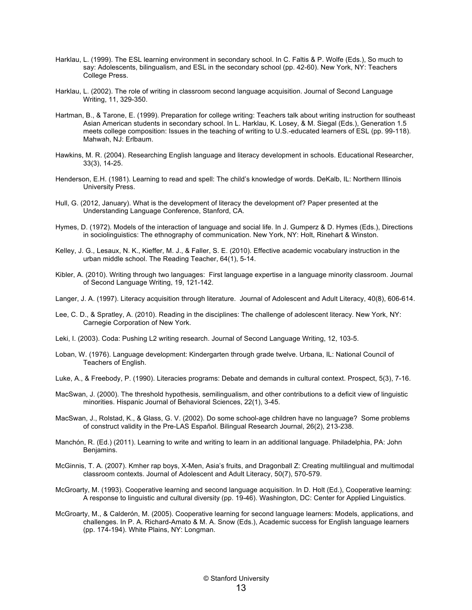- Harklau, L. (1999). The ESL learning environment in secondary school. In C. Faltis & P. Wolfe (Eds.), So much to say: Adolescents, bilingualism, and ESL in the secondary school (pp. 42-60). New York, NY: Teachers College Press.
- Harklau, L. (2002). The role of writing in classroom second language acquisition. Journal of Second Language Writing, 11, 329-350.
- Hartman, B., & Tarone, E. (1999). Preparation for college writing: Teachers talk about writing instruction for southeast Asian American students in secondary school. In L. Harklau, K. Losey, & M. Siegal (Eds.), Generation 1.5 meets college composition: Issues in the teaching of writing to U.S.-educated learners of ESL (pp. 99-118). Mahwah, NJ: Erlbaum.
- Hawkins, M. R. (2004). Researching English language and literacy development in schools. Educational Researcher, 33(3), 14-25.
- Henderson, E.H. (1981). Learning to read and spell: The child's knowledge of words. DeKalb, IL: Northern Illinois University Press.
- Hull, G. (2012, January). What is the development of literacy the development of? Paper presented at the Understanding Language Conference, Stanford, CA.
- Hymes, D. (1972). Models of the interaction of language and social life. In J. Gumperz & D. Hymes (Eds.), Directions in sociolinguistics: The ethnography of communication. New York, NY: Holt, Rinehart & Winston.
- Kelley, J. G., Lesaux, N. K., Kieffer, M. J., & Faller, S. E. (2010). Effective academic vocabulary instruction in the urban middle school. The Reading Teacher, 64(1), 5-14.
- Kibler, A. (2010). Writing through two languages: First language expertise in a language minority classroom. Journal of Second Language Writing, 19, 121-142.
- Langer, J. A. (1997). Literacy acquisition through literature. Journal of Adolescent and Adult Literacy, 40(8), 606-614.
- Lee, C. D., & Spratley, A. (2010). Reading in the disciplines: The challenge of adolescent literacy. New York, NY: Carnegie Corporation of New York.
- Leki, I. (2003). Coda: Pushing L2 writing research. Journal of Second Language Writing, 12, 103-5.
- Loban, W. (1976). Language development: Kindergarten through grade twelve. Urbana, IL: National Council of Teachers of English.
- Luke, A., & Freebody, P. (1990). Literacies programs: Debate and demands in cultural context. Prospect, 5(3), 7-16.
- MacSwan, J. (2000). The threshold hypothesis, semilingualism, and other contributions to a deficit view of linguistic minorities. Hispanic Journal of Behavioral Sciences, 22(1), 3-45.
- MacSwan, J., Rolstad, K., & Glass, G. V. (2002). Do some school-age children have no language? Some problems of construct validity in the Pre-LAS Español. Bilingual Research Journal, 26(2), 213-238.
- Manchón, R. (Ed.) (2011). Learning to write and writing to learn in an additional language. Philadelphia, PA: John Benjamins.
- McGinnis, T. A. (2007). Kmher rap boys, X-Men, Asia's fruits, and Dragonball Z: Creating multilingual and multimodal classroom contexts. Journal of Adolescent and Adult Literacy, 50(7), 570-579.
- McGroarty, M. (1993). Cooperative learning and second language acquisition. In D. Holt (Ed.), Cooperative learning: A response to linguistic and cultural diversity (pp. 19-46). Washington, DC: Center for Applied Linguistics.
- McGroarty, M., & Calderón, M. (2005). Cooperative learning for second language learners: Models, applications, and challenges. In P. A. Richard-Amato & M. A. Snow (Eds.), Academic success for English language learners (pp. 174-194). White Plains, NY: Longman.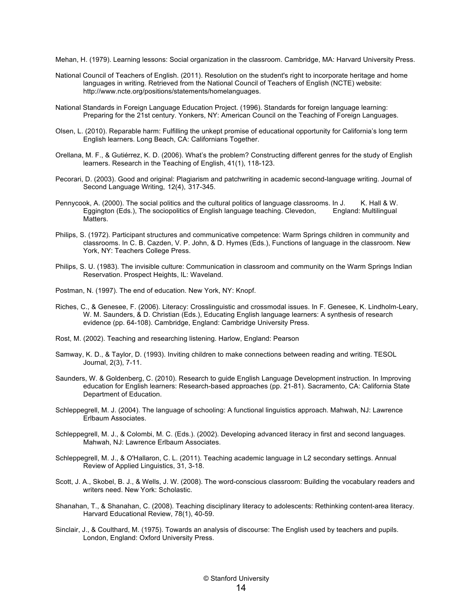Mehan, H. (1979). Learning lessons: Social organization in the classroom. Cambridge, MA: Harvard University Press.

- National Council of Teachers of English. (2011). Resolution on the student's right to incorporate heritage and home languages in writing. Retrieved from the National Council of Teachers of English (NCTE) website: http://www.ncte.org/positions/statements/homelanguages.
- National Standards in Foreign Language Education Project. (1996). Standards for foreign language learning: Preparing for the 21st century. Yonkers, NY: American Council on the Teaching of Foreign Languages.
- Olsen, L. (2010). Reparable harm: Fulfilling the unkept promise of educational opportunity for California's long term English learners. Long Beach, CA: Californians Together.
- Orellana, M. F., & Gutiérrez, K. D. (2006). What's the problem? Constructing different genres for the study of English learners. Research in the Teaching of English, 41(1), 118-123.
- Pecorari, D. (2003). Good and original: Plagiarism and patchwriting in academic second-language writing. Journal of Second Language Writing, 12(4), 317-345.
- Pennycook, A. (2000). The social politics and the cultural politics of language classrooms. In J. K. Hall & W. Eggington (Eds.), The sociopolitics of English language teaching. Clevedon, England: Multilingual Matters.
- Philips, S. (1972). Participant structures and communicative competence: Warm Springs children in community and classrooms. In C. B. Cazden, V. P. John, & D. Hymes (Eds.), Functions of language in the classroom. New York, NY: Teachers College Press.
- Philips, S. U. (1983). The invisible culture: Communication in classroom and community on the Warm Springs Indian Reservation. Prospect Heights, IL: Waveland.
- Postman, N. (1997). The end of education. New York, NY: Knopf.
- Riches, C., & Genesee, F. (2006). Literacy: Crosslinguistic and crossmodal issues. In F. Genesee, K. Lindholm-Leary, W. M. Saunders, & D. Christian (Eds.), Educating English language learners: A synthesis of research evidence (pp. 64-108). Cambridge, England: Cambridge University Press.
- Rost, M. (2002). Teaching and researching listening. Harlow, England: Pearson
- Samway, K. D., & Taylor, D. (1993). Inviting children to make connections between reading and writing. TESOL Journal, 2(3), 7-11.
- Saunders, W. & Goldenberg, C. (2010). Research to guide English Language Development instruction. In Improving education for English learners: Research-based approaches (pp. 21-81). Sacramento, CA: California State Department of Education.
- Schleppegrell, M. J. (2004). The language of schooling: A functional linguistics approach. Mahwah, NJ: Lawrence Erlbaum Associates.
- Schleppegrell, M. J., & Colombi, M. C. (Eds.). (2002). Developing advanced literacy in first and second languages. Mahwah, NJ: Lawrence Erlbaum Associates.
- Schleppegrell, M. J., & O'Hallaron, C. L. (2011). Teaching academic language in L2 secondary settings. Annual Review of Applied Linguistics, 31, 3-18.
- Scott, J. A., Skobel, B. J., & Wells, J. W. (2008). The word-conscious classroom: Building the vocabulary readers and writers need. New York: Scholastic.
- Shanahan, T., & Shanahan, C. (2008). Teaching disciplinary literacy to adolescents: Rethinking content-area literacy. Harvard Educational Review, 78(1), 40-59.
- Sinclair, J., & Coulthard, M. (1975). Towards an analysis of discourse: The English used by teachers and pupils. London, England: Oxford University Press.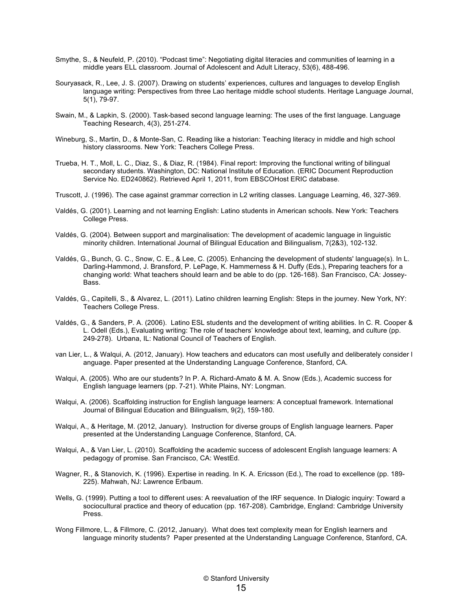- Smythe, S., & Neufeld, P. (2010). "Podcast time": Negotiating digital literacies and communities of learning in a middle years ELL classroom. Journal of Adolescent and Adult Literacy, 53(6), 488-496.
- Souryasack, R., Lee, J. S. (2007). Drawing on students' experiences, cultures and languages to develop English language writing: Perspectives from three Lao heritage middle school students. Heritage Language Journal, 5(1), 79-97.
- Swain, M., & Lapkin, S. (2000). Task-based second language learning: The uses of the first language. Language Teaching Research, 4(3), 251-274.
- Wineburg, S., Martin, D., & Monte-San, C. Reading like a historian: Teaching literacy in middle and high school history classrooms. New York: Teachers College Press.
- Trueba, H. T., Moll, L. C., Diaz, S., & Diaz, R. (1984). Final report: Improving the functional writing of bilingual secondary students. Washington, DC: National Institute of Education. (ERIC Document Reproduction Service No. ED240862). Retrieved April 1, 2011, from EBSCOHost ERIC database.
- Truscott, J. (1996). The case against grammar correction in L2 writing classes. Language Learning, 46, 327-369.
- Valdés, G. (2001). Learning and not learning English: Latino students in American schools. New York: Teachers College Press.
- Valdés, G. (2004). Between support and marginalisation: The development of academic language in linguistic minority children. International Journal of Bilingual Education and Bilingualism, 7(2&3), 102-132.
- Valdés, G., Bunch, G. C., Snow, C. E., & Lee, C. (2005). Enhancing the development of students' language(s). In L. Darling-Hammond, J. Bransford, P. LePage, K. Hammerness & H. Duffy (Eds.), Preparing teachers for a changing world: What teachers should learn and be able to do (pp. 126-168). San Francisco, CA: Jossey-Bass.
- Valdés, G., Capitelli, S., & Alvarez, L. (2011). Latino children learning English: Steps in the journey. New York, NY: Teachers College Press.
- Valdés, G., & Sanders, P. A. (2006). Latino ESL students and the development of writing abilities. In C. R. Cooper & L. Odell (Eds.), Evaluating writing: The role of teachers' knowledge about text, learning, and culture (pp. 249-278). Urbana, IL: National Council of Teachers of English.
- van Lier, L., & Walqui, A. (2012, January). How teachers and educators can most usefully and deliberately consider l anguage. Paper presented at the Understanding Language Conference, Stanford, CA.
- Walqui, A. (2005). Who are our students? In P. A. Richard-Amato & M. A. Snow (Eds.), Academic success for English language learners (pp. 7-21). White Plains, NY: Longman.
- Walqui, A. (2006). Scaffolding instruction for English language learners: A conceptual framework. International Journal of Bilingual Education and Bilingualism, 9(2), 159-180.
- Walqui, A., & Heritage, M. (2012, January). Instruction for diverse groups of English language learners. Paper presented at the Understanding Language Conference, Stanford, CA.
- Walqui, A., & Van Lier, L. (2010). Scaffolding the academic success of adolescent English language learners: A pedagogy of promise. San Francisco, CA: WestEd.
- Wagner, R., & Stanovich, K. (1996). Expertise in reading. In K. A. Ericsson (Ed.), The road to excellence (pp. 189- 225). Mahwah, NJ: Lawrence Erlbaum.
- Wells, G. (1999). Putting a tool to different uses: A reevaluation of the IRF sequence. In Dialogic inquiry: Toward a sociocultural practice and theory of education (pp. 167-208). Cambridge, England: Cambridge University Press.
- Wong Fillmore, L., & Fillmore, C. (2012, January). What does text complexity mean for English learners and language minority students? Paper presented at the Understanding Language Conference, Stanford, CA.